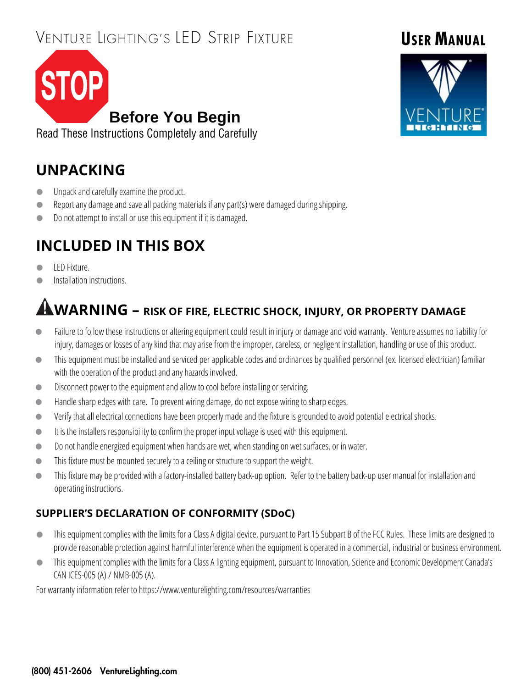# VENTURE LIGHTING'S LED STRIP FIXTURE



Read These Instructions Completely and Carefully

# **UNPACKING**

- **IDED** Unpack and carefully examine the product.
- Report any damage and save all packing materials if any part(s) were damaged during shipping.
- Do not attempt to install or use this equipment if it is damaged.

# **INCLUDED IN THIS BOX**

- LED Fixture.
- **Installation instructions.**

# **WARNING – RISK OF FIRE, ELECTRIC SHOCK, INJURY, OR PROPERTY DAMAGE**

- Failure to follow these instructions or altering equipment could result in injury or damage and void warranty. Venture assumes no liability for injury, damages or losses of any kind that may arise from the improper, careless, or negligent installation, handling or use of this product.
- This equipment must be installed and serviced per applicable codes and ordinances by qualified personnel (ex. licensed electrician) familiar with the operation of the product and any hazards involved.
- **Disconnect power to the equipment and allow to cool before installing or servicing.**
- Handle sharp edges with care. To prevent wiring damage, do not expose wiring to sharp edges.
- Verify that all electrical connections have been properly made and the fixture is grounded to avoid potential electrical shocks.
- It is the installers responsibility to confirm the proper input voltage is used with this equipment.
- Do not handle energized equipment when hands are wet, when standing on wet surfaces, or in water.
- This fixture must be mounted securely to a ceiling or structure to support the weight.
- This fixture may be provided with a factory-installed battery back-up option. Refer to the battery back-up user manual for installation and operating instructions.

#### **SUPPLIER'S DECLARATION OF CONFORMITY (SDoC)**

- This equipment complies with the limits for a Class A digital device, pursuant to Part 15 Subpart B of the FCC Rules. These limits are designed to provide reasonable protection against harmful interference when the equipment is operated in a commercial, industrial or business environment.
- This equipment complies with the limits for a Class A lighting equipment, pursuant to Innovation, Science and Economic Development Canada's CAN ICES-005 (A) / NMB-005 (A).

For warranty information refer to https://www.venturelighting.com/resources/warranties

# **USER MANUAL**

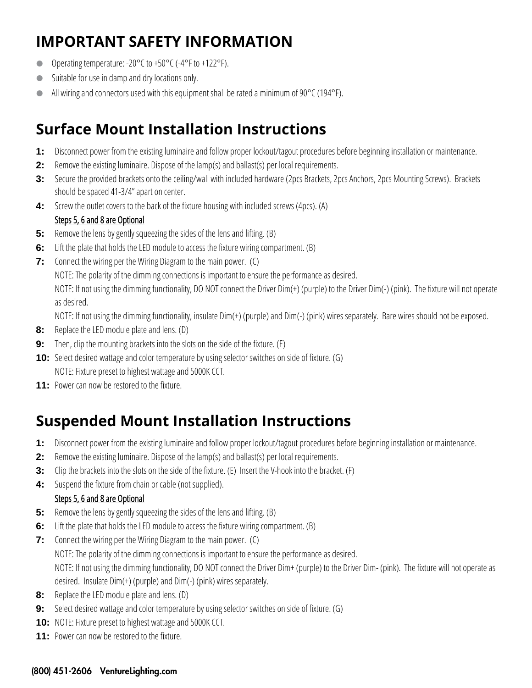## **IMPORTANT SAFETY INFORMATION**

- Operating temperature: -20°C to +50°C (-4°F to +122°F).
- Suitable for use in damp and dry locations only.
- All wiring and connectors used with this equipment shall be rated a minimum of 90°C (194°F).

## **Surface Mount Installation Instructions**

- **1:** Disconnect power from the existing luminaire and follow proper lockout/tagout procedures before beginning installation or maintenance.
- **2:** Remove the existing luminaire. Dispose of the lamp(s) and ballast(s) per local requirements.
- **3:** Secure the provided brackets onto the ceiling/wall with included hardware (2pcs Brackets, 2pcs Anchors, 2pcs Mounting Screws). Brackets should be spaced 41-3/4" apart on center.
- **4:** Screw the outlet covers to the back of the fixture housing with included screws (4pcs). (A)

#### Steps 5, 6 and 8 are Optional

- **5:** Remove the lens by gently squeezing the sides of the lens and lifting. (B)
- **6:** Lift the plate that holds the LED module to access the fixture wiring compartment. (B)
- **7:** Connect the wiring per the Wiring Diagram to the main power. (C)

NOTE: The polarity of the dimming connections is important to ensure the performance as desired.

NOTE: If not using the dimming functionality, DO NOT connect the Driver Dim(+) (purple) to the Driver Dim(-) (pink). The fixture will not operate as desired.

NOTE: If not using the dimming functionality, insulate Dim(+) (purple) and Dim(-) (pink) wires separately. Bare wires should not be exposed.

- **8:** Replace the LED module plate and lens. (D)
- **9:** Then, clip the mounting brackets into the slots on the side of the fixture. (E)
- **10:** Select desired wattage and color temperature by using selector switches on side of fixture. (G) NOTE: Fixture preset to highest wattage and 5000K CCT.
- **11:** Power can now be restored to the fixture.

## **Suspended Mount Installation Instructions**

- **1:** Disconnect power from the existing luminaire and follow proper lockout/tagout procedures before beginning installation or maintenance.
- **2:** Remove the existing luminaire. Dispose of the lamp(s) and ballast(s) per local requirements.
- **3:** Clip the brackets into the slots on the side of the fixture. (E) Insert the V-hook into the bracket. (F)
- **4:** Suspend the fixture from chain or cable (not supplied).

#### Steps 5, 6 and 8 are Optional

- **5:** Remove the lens by gently squeezing the sides of the lens and lifting. (B)
- **6:** Lift the plate that holds the LED module to access the fixture wiring compartment. (B)
- **7:** Connect the wiring per the Wiring Diagram to the main power. (C)

NOTE: The polarity of the dimming connections is important to ensure the performance as desired.

NOTE: If not using the dimming functionality, DO NOT connect the Driver Dim+ (purple) to the Driver Dim- (pink). The fixture will not operate as desired. Insulate Dim(+) (purple) and Dim(-) (pink) wires separately.

- **8:** Replace the LED module plate and lens. (D)
- **9:** Select desired wattage and color temperature by using selector switches on side of fixture. (G)
- **10:** NOTE: Fixture preset to highest wattage and 5000K CCT.
- **11:** Power can now be restored to the fixture.

#### (800) 451-2606 VentureLighting.com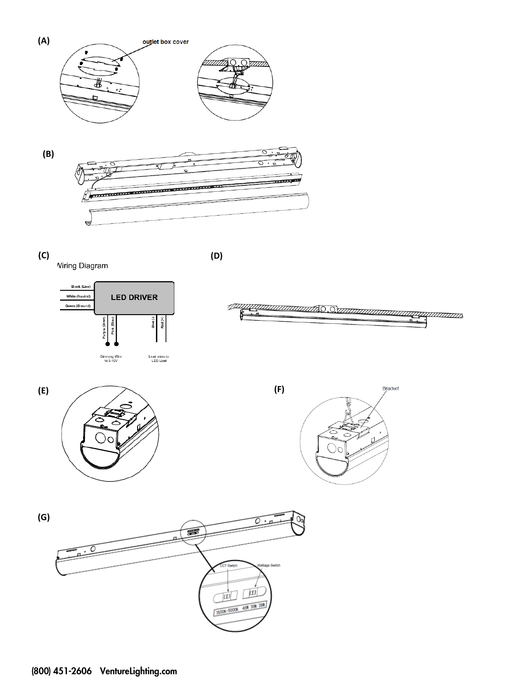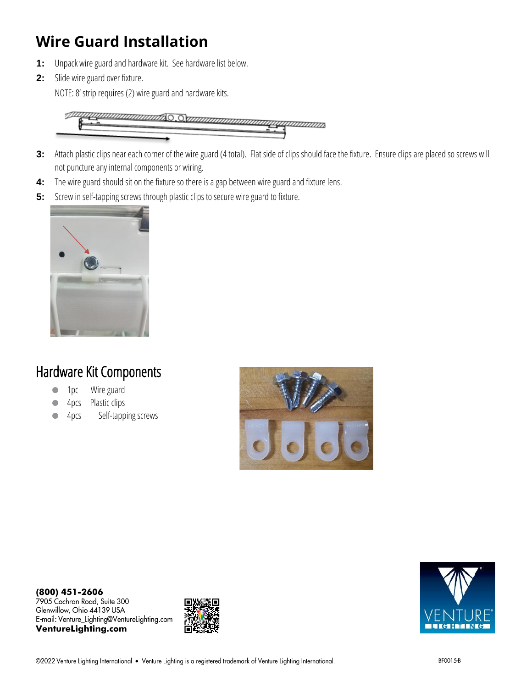## **Wire Guard Installation**

- **1:** Unpack wire guard and hardware kit. See hardware list below.
- **2:** Slide wire guard over fixture.

NOTE: 8' strip requires (2) wire guard and hardware kits.



- **3:** Attach plastic clips near each corner of the wire guard (4 total). Flat side of clips should face the fixture. Ensure clips are placed so screws will not puncture any internal components or wiring.
- **4:** The wire guard should sit on the fixture so there is a gap between wire guard and fixture lens.
- **5:** Screw in self-tapping screws through plastic clips to secure wire guard to fixture.



#### Hardware Kit Components

- 1pc Wire guard
- 4pcs Plastic clips
- 4pcs Self-tapping screws





**VentureLighting.com**



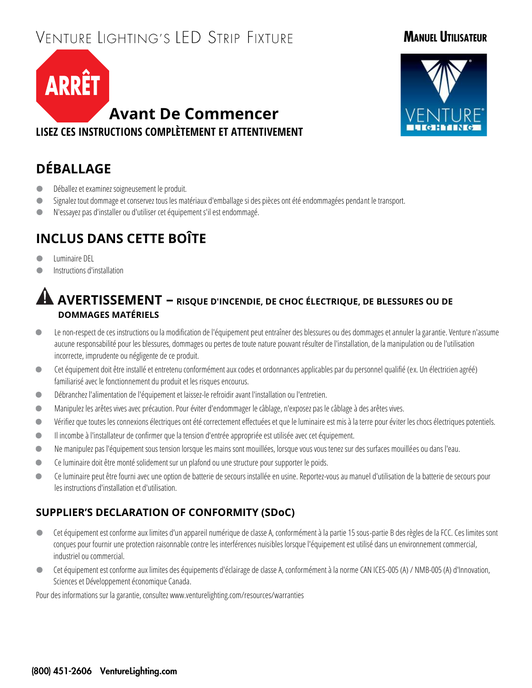# VENTURE LIGHTING'S LED STRIP FIXTURE

#### **MANUEL UTILISATEUR**





#### **DÉBALLAGE**

- Déballez et examinez soigneusement le produit.
- Signalez tout dommage et conservez tous les matériaux d'emballage si des pièces ont été endommagées pendant le transport.
- N'essayez pas d'installer ou d'utiliser cet équipement s'il est endommagé.

#### **INCLUS DANS CETTE BOÎTE**

- **Calcular** Luminaire DEL
- **Instructions d'installation**

#### **AVERTISSEMENT – RISQUE D'INCENDIE, DE CHOC ÉLECTRIQUE, DE BLESSURES OU DE DOMMAGES MATÉRIELS**

- Le non-respect de ces instructions ou la modification de l'équipement peut entraîner des blessures ou des dommages et annuler la garantie. Venture n'assume aucune responsabilité pour les blessures, dommages ou pertes de toute nature pouvant résulter de l'installation, de la manipulation ou de l'utilisation incorrecte, imprudente ou négligente de ce produit.
- Cet équipement doit être installé et entretenu conformément aux codes et ordonnances applicables par du personnel qualifié (ex. Un électricien agréé) familiarisé avec le fonctionnement du produit et les risques encourus.
- Débranchez l'alimentation de l'équipement et laissez-le refroidir avant l'installation ou l'entretien.
- Manipulez les arêtes vives avec précaution. Pour éviter d'endommager le câblage, n'exposez pas le câblage à des arêtes vives.
- Vérifiez que toutes les connexions électriques ont été correctement effectuées et que le luminaire est mis à la terre pour éviter les chocs électriques potentiels.
- Il incombe à l'installateur de confirmer que la tension d'entrée appropriée est utilisée avec cet équipement.
- Ne manipulez pas l'équipement sous tension lorsque les mains sont mouillées, lorsque vous vous tenez sur des surfaces mouillées ou dans l'eau.
- Ce luminaire doit être monté solidement sur un plafond ou une structure pour supporter le poids.
- Ce luminaire peut être fourni avec une option de batterie de secours installée en usine. Reportez-vous au manuel d'utilisation de la batterie de secours pour les instructions d'installation et d'utilisation.

#### **SUPPLIER'S DECLARATION OF CONFORMITY (SDoC)**

- Cet équipement est conforme aux limites d'un appareil numérique de classe A, conformément à la partie 15 sous-partie B des règles de la FCC. Ces limites sont conçues pour fournir une protection raisonnable contre les interférences nuisibles lorsque l'équipement est utilisé dans un environnement commercial, industriel ou commercial.
- Cet équipement est conforme aux limites des équipements d'éclairage de classe A, conformément à la norme CAN ICES-005 (A) / NMB-005 (A) d'Innovation, Sciences et Développement économique Canada.

Pour des informations sur la garantie, consultez www.venturelighting.com/resources/warranties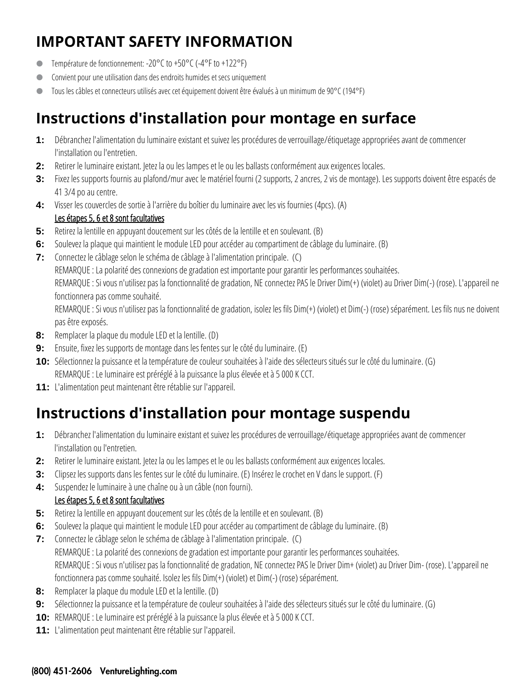## **IMPORTANT SAFETY INFORMATION**

- Température de fonctionnement: -20°C to +50°C (-4°F to +122°F)
- Convient pour une utilisation dans des endroits humides et secs uniquement
- Tous les câbles et connecteurs utilisés avec cet équipement doivent être évalués à un minimum de 90°C (194°F)

## **Instructions d'installation pour montage en surface**

- **1:** Débranchez l'alimentation du luminaire existant et suivez les procédures de verrouillage/étiquetage appropriées avant de commencer l'installation ou l'entretien.
- **2:** Retirer le luminaire existant. Jetez la ou les lampes et le ou les ballasts conformément aux exigences locales.
- **3:** Fixez les supports fournis au plafond/mur avec le matériel fourni (2 supports, 2 ancres, 2 vis de montage). Les supports doivent être espacés de 41 3/4 po au centre.
- **4:** Visser les couvercles de sortie à l'arrière du boîtier du luminaire avec les vis fournies (4pcs). (A) Les étapes 5, 6 et 8 sont facultatives
- **5:** Retirez la lentille en appuyant doucement sur les côtés de la lentille et en soulevant. (B)
- **6:** Soulevez la plaque qui maintient le module LED pour accéder au compartiment de câblage du luminaire. (B)
- **7:** Connectez le câblage selon le schéma de câblage à l'alimentation principale. (C)

REMARQUE : La polarité des connexions de gradation est importante pour garantir les performances souhaitées.

REMARQUE : Si vous n'utilisez pas la fonctionnalité de gradation, NE connectez PAS le Driver Dim(+) (violet) au Driver Dim(-) (rose). L'appareil ne fonctionnera pas comme souhaité.

REMARQUE : Si vous n'utilisez pas la fonctionnalité de gradation, isolez les fils Dim(+) (violet) et Dim(-) (rose) séparément. Les fils nus ne doivent pas être exposés.

- **8:** Remplacer la plaque du module LED et la lentille. (D)
- **9:** Ensuite, fixez les supports de montage dans les fentes sur le côté du luminaire. (E)
- **10:** Sélectionnez la puissance et la température de couleur souhaitées à l'aide des sélecteurs situés sur le côté du luminaire. (G) REMARQUE: Le luminaire est préréglé à la puissance la plus élevée et à 5 000 K CCT.
- **11:** L'alimentation peut maintenant être rétablie sur l'appareil.

## **Instructions d'installation pour montage suspendu**

- **1:** Débranchez l'alimentation du luminaire existant et suivez les procédures de verrouillage/étiquetage appropriées avant de commencer l'installation ou l'entretien.
- **2:** Retirer le luminaire existant. Jetez la ou les lampes et le ou les ballasts conformément aux exigences locales.
- **3:** Clipsez les supports dans les fentes sur le côté du luminaire. (E) Insérez le crochet en V dans le support. (F)
- **4:** Suspendez le luminaire à une chaîne ou à un câble (non fourni).

#### Les étapes 5, 6 et 8 sont facultatives

- **5:** Retirez la lentille en appuyant doucement sur les côtés de la lentille et en soulevant. (B)
- **6:** Soulevez la plaque qui maintient le module LED pour accéder au compartiment de câblage du luminaire. (B)
- **7:** Connectez le câblage selon le schéma de câblage à l'alimentation principale. (C) REMARQUE : La polarité des connexions de gradation est importante pour garantir les performances souhaitées. REMARQUE : Si vous n'utilisez pas la fonctionnalité de gradation, NE connectez PAS le Driver Dim+ (violet) au Driver Dim- (rose). L'appareil ne fonctionnera pas comme souhaité. Isolez les fils Dim(+) (violet) et Dim(-) (rose) séparément.
- **8:** Remplacer la plaque du module LED et la lentille. (D)
- **9:** Sélectionnez la puissance et la température de couleur souhaitées à l'aide des sélecteurs situés sur le côté du luminaire. (G)
- **10:** REMARQUE: Le luminaire est préréglé à la puissance la plus élevée et à 5 000 K CCT.
- **11:** L'alimentation peut maintenant être rétablie sur l'appareil.

#### (800) 451-2606 VentureLighting.com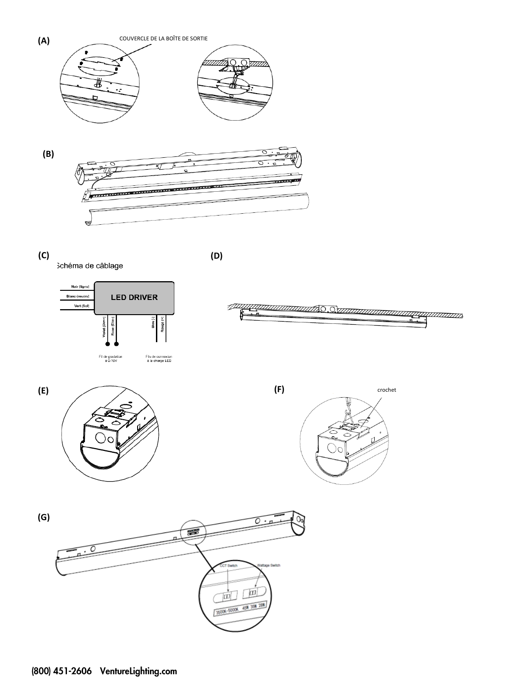